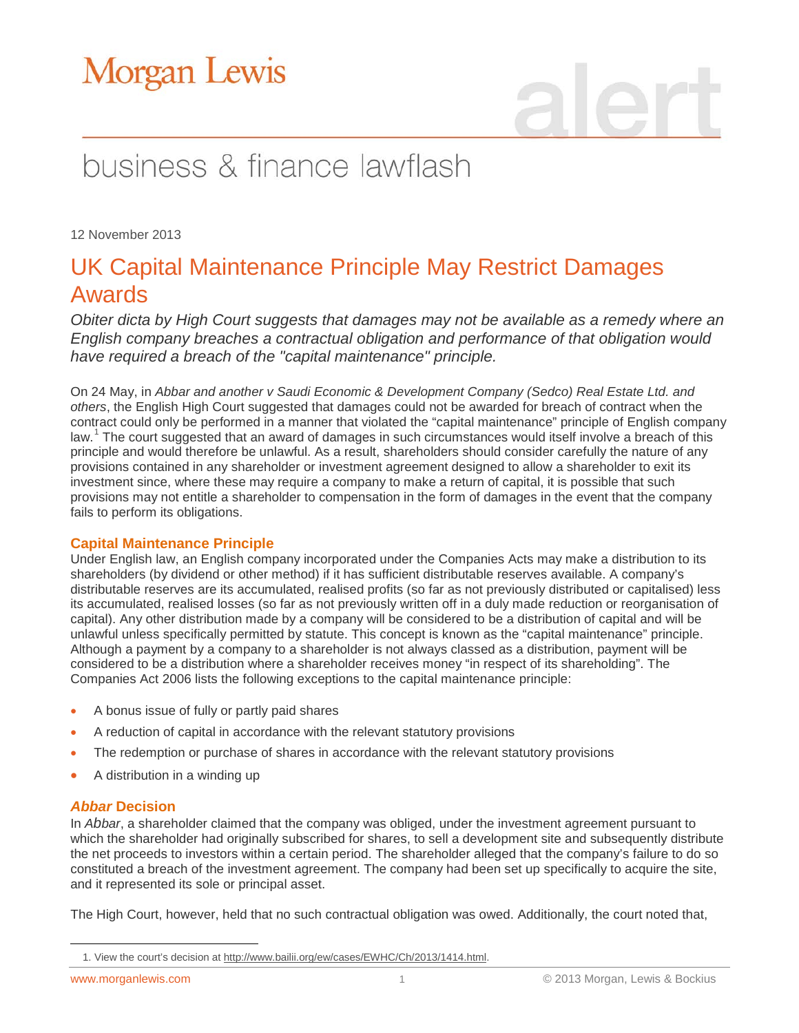# **Morgan Lewis**

## business & finance lawflash

12 November 2013

### UK Capital Maintenance Principle May Restrict Damages Awards

*Obiter dicta by High Court suggests that damages may not be available as a remedy where an English company breaches a contractual obligation and performance of that obligation would have required a breach of the "capital maintenance" principle.*

On 24 May, in *Abbar and another v Saudi Economic & Development Company (Sedco) Real Estate Ltd. and others*, the English High Court suggested that damages could not be awarded for breach of contract when the contract could only be performed in a manner that violated the "capital maintenance" principle of English company law.<sup>[1](#page-0-0)</sup> The court suggested that an award of damages in such circumstances would itself involve a breach of this principle and would therefore be unlawful. As a result, shareholders should consider carefully the nature of any provisions contained in any shareholder or investment agreement designed to allow a shareholder to exit its investment since, where these may require a company to make a return of capital, it is possible that such provisions may not entitle a shareholder to compensation in the form of damages in the event that the company fails to perform its obligations.

### **Capital Maintenance Principle**

Under English law, an English company incorporated under the Companies Acts may make a distribution to its shareholders (by dividend or other method) if it has sufficient distributable reserves available. A company's distributable reserves are its accumulated, realised profits (so far as not previously distributed or capitalised) less its accumulated, realised losses (so far as not previously written off in a duly made reduction or reorganisation of capital). Any other distribution made by a company will be considered to be a distribution of capital and will be unlawful unless specifically permitted by statute. This concept is known as the "capital maintenance" principle. Although a payment by a company to a shareholder is not always classed as a distribution, payment will be considered to be a distribution where a shareholder receives money "in respect of its shareholding". The Companies Act 2006 lists the following exceptions to the capital maintenance principle:

- A bonus issue of fully or partly paid shares
- A reduction of capital in accordance with the relevant statutory provisions
- The redemption or purchase of shares in accordance with the relevant statutory provisions
- A distribution in a winding up

### *Abbar* **Decision**

In *Abbar*, a shareholder claimed that the company was obliged, under the investment agreement pursuant to which the shareholder had originally subscribed for shares, to sell a development site and subsequently distribute the net proceeds to investors within a certain period. The shareholder alleged that the company's failure to do so constituted a breach of the investment agreement. The company had been set up specifically to acquire the site, and it represented its sole or principal asset.

The High Court, however, held that no such contractual obligation was owed. Additionally, the court noted that,

<span id="page-0-0"></span> $\overline{a}$ 

<sup>1.</sup> View the court's decision a[t http://www.bailii.org/ew/cases/EWHC/Ch/2013/1414.html.](http://www.bailii.org/ew/cases/EWHC/Ch/2013/1414.html)